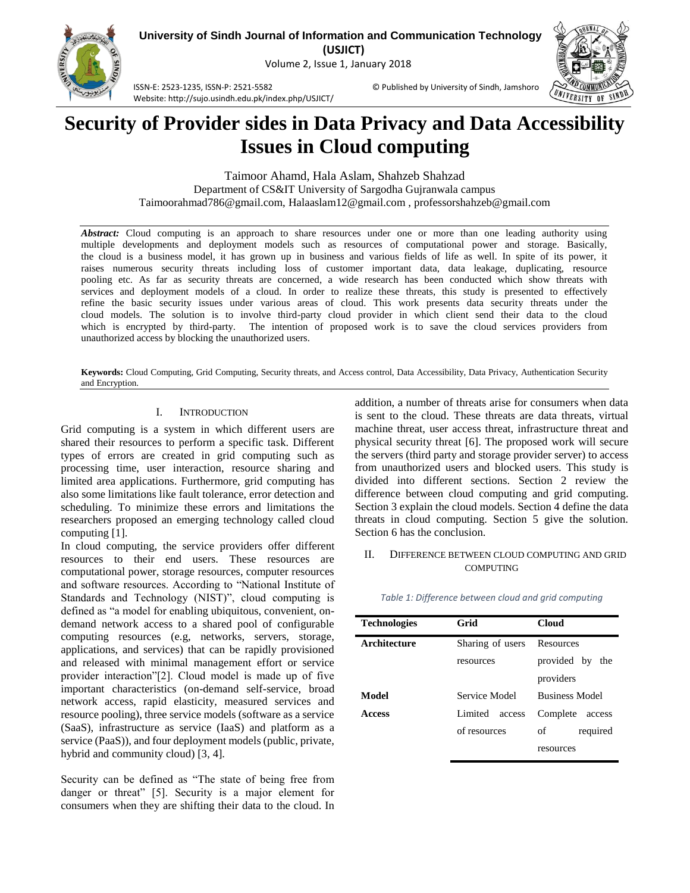

**(USJICT)**

Volume 2, Issue 1, January 2018



ISSN-E: 2523-1235, ISSN-P: 2521-5582 © Published by University of Sindh, Jamshoro Website: http://sujo.usindh.edu.pk/index.php/USJICT/

# **Security of Provider sides in Data Privacy and Data Accessibility Issues in Cloud computing**

Taimoor Ahamd, Hala Aslam, Shahzeb Shahzad Department of CS&IT University of Sargodha Gujranwala campus Taimoorahmad786@gmail.com, Halaaslam12@gmail.com , professorshahzeb@gmail.com

*Abstract:* Cloud computing is an approach to share resources under one or more than one leading authority using multiple developments and deployment models such as resources of computational power and storage. Basically, the cloud is a business model, it has grown up in business and various fields of life as well. In spite of its power, it raises numerous security threats including loss of customer important data, data leakage, duplicating, resource pooling etc. As far as security threats are concerned, a wide research has been conducted which show threats with services and deployment models of a cloud. In order to realize these threats, this study is presented to effectively refine the basic security issues under various areas of cloud. This work presents data security threats under the cloud models. The solution is to involve third-party cloud provider in which client send their data to the cloud which is encrypted by third-party. The intention of proposed work is to save the cloud services providers from unauthorized access by blocking the unauthorized users.

**Keywords:** Cloud Computing, Grid Computing, Security threats, and Access control, Data Accessibility, Data Privacy, Authentication Security and Encryption.

# I. INTRODUCTION

Grid computing is a system in which different users are shared their resources to perform a specific task. Different types of errors are created in grid computing such as processing time, user interaction, resource sharing and limited area applications. Furthermore, grid computing has also some limitations like fault tolerance, error detection and scheduling. To minimize these errors and limitations the researchers proposed an emerging technology called cloud computing [1].

In cloud computing, the service providers offer different resources to their end users. These resources are computational power, storage resources, computer resources and software resources. According to "National Institute of Standards and Technology (NIST)", cloud computing is defined as "a model for enabling ubiquitous, convenient, ondemand network access to a shared pool of configurable computing resources (e.g, networks, servers, storage, applications, and services) that can be rapidly provisioned and released with minimal management effort or service provider interaction"[2]. Cloud model is made up of five important characteristics (on-demand self-service, broad network access, rapid elasticity, measured services and resource pooling), three service models (software as a service (SaaS), infrastructure as service (IaaS) and platform as a service (PaaS)), and four deployment models (public, private, hybrid and community cloud) [3, 4].

Security can be defined as "The state of being free from danger or threat" [5]. Security is a major element for consumers when they are shifting their data to the cloud. In addition, a number of threats arise for consumers when data is sent to the cloud. These threats are data threats, virtual machine threat, user access threat, infrastructure threat and physical security threat [6]. The proposed work will secure the servers (third party and storage provider server) to access from unauthorized users and blocked users. This study is divided into different sections. Section 2 review the difference between cloud computing and grid computing. Section 3 explain the cloud models. Section 4 define the data threats in cloud computing. Section 5 give the solution. Section 6 has the conclusion.

## II. DIFFERENCE BETWEEN CLOUD COMPUTING AND GRID **COMPUTING**

| <b>Technologies</b> | Grid              | <b>Cloud</b>          |
|---------------------|-------------------|-----------------------|
| Architecture        | Sharing of users  | Resources             |
|                     | resources         | provided by<br>the    |
|                     |                   | providers             |
| Model               | Service Model     | <b>Business Model</b> |
| <b>Access</b>       | Limited<br>access | Complete<br>access    |
|                     | of resources      | of<br>required        |
|                     |                   | resources             |

#### *Table 1: Difference between cloud and grid computing*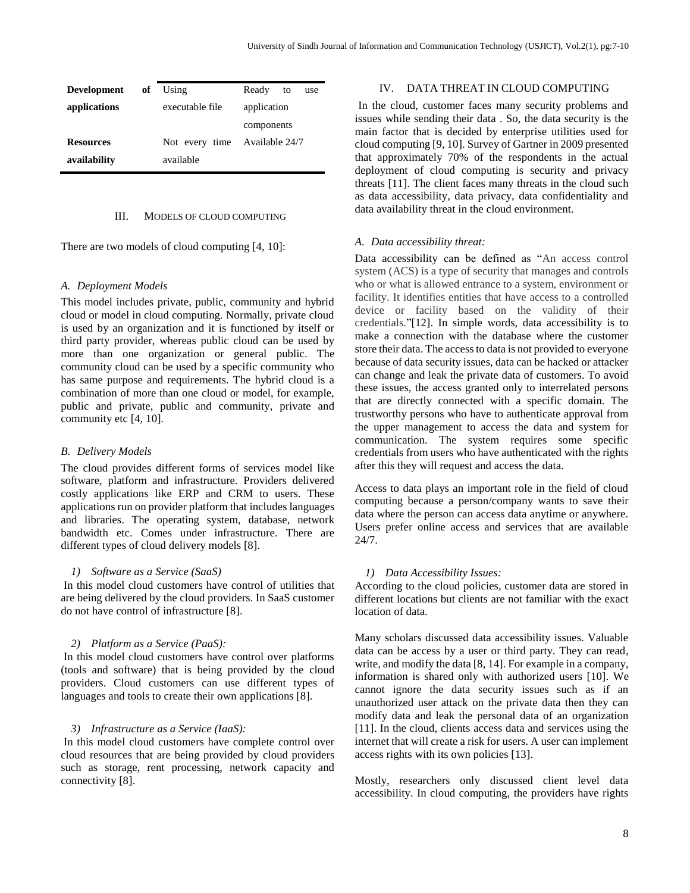|                               | Ready<br>to<br>use |
|-------------------------------|--------------------|
| executable file               | application        |
|                               | components         |
| Not every time Available 24/7 |                    |
| available                     |                    |
|                               | of Using           |

## III. MODELS OF CLOUD COMPUTING

There are two models of cloud computing [4, 10]:

## *A. Deployment Models*

This model includes private, public, community and hybrid cloud or model in cloud computing. Normally, private cloud is used by an organization and it is functioned by itself or third party provider, whereas public cloud can be used by more than one organization or general public. The community cloud can be used by a specific community who has same purpose and requirements. The hybrid cloud is a combination of more than one cloud or model, for example, public and private, public and community, private and community etc [4, 10].

#### *B. Delivery Models*

The cloud provides different forms of services model like software, platform and infrastructure. Providers delivered costly applications like ERP and CRM to users. These applications run on provider platform that includes languages and libraries. The operating system, database, network bandwidth etc. Comes under infrastructure. There are different types of cloud delivery models [8].

#### *1) Software as a Service (SaaS)*

In this model cloud customers have control of utilities that are being delivered by the cloud providers. In SaaS customer do not have control of infrastructure [8].

#### *2) Platform as a Service (PaaS):*

In this model cloud customers have control over platforms (tools and software) that is being provided by the cloud providers. Cloud customers can use different types of languages and tools to create their own applications [8].

#### *3) Infrastructure as a Service (IaaS):*

In this model cloud customers have complete control over cloud resources that are being provided by cloud providers such as storage, rent processing, network capacity and connectivity [8].

# IV. DATA THREAT IN CLOUD COMPUTING

In the cloud, customer faces many security problems and issues while sending their data . So, the data security is the main factor that is decided by enterprise utilities used for cloud computing [9, 10]. Survey of Gartner in 2009 presented that approximately 70% of the respondents in the actual deployment of cloud computing is security and privacy threats [11]. The client faces many threats in the cloud such as data accessibility, data privacy, data confidentiality and data availability threat in the cloud environment.

#### *A. Data accessibility threat:*

Data accessibility can be defined as "An access control system (ACS) is a type of security that manages and controls who or what is allowed entrance to a system, environment or facility. It identifies entities that have access to a controlled device or facility based on the validity of their credentials."[12]. In simple words, data accessibility is to make a connection with the database where the customer store their data. The access to data is not provided to everyone because of data security issues, data can be hacked or attacker can change and leak the private data of customers. To avoid these issues, the access granted only to interrelated persons that are directly connected with a specific domain. The trustworthy persons who have to authenticate approval from the upper management to access the data and system for communication. The system requires some specific credentials from users who have authenticated with the rights after this they will request and access the data.

Access to data plays an important role in the field of cloud computing because a person/company wants to save their data where the person can access data anytime or anywhere. Users prefer online access and services that are available 24/7.

## *1) Data Accessibility Issues:*

According to the cloud policies, customer data are stored in different locations but clients are not familiar with the exact location of data.

Many scholars discussed data accessibility issues. Valuable data can be access by a user or third party. They can read, write, and modify the data [8, 14]. For example in a company, information is shared only with authorized users [10]. We cannot ignore the data security issues such as if an unauthorized user attack on the private data then they can modify data and leak the personal data of an organization [11]. In the cloud, clients access data and services using the internet that will create a risk for users. A user can implement access rights with its own policies [13].

Mostly, researchers only discussed client level data accessibility. In cloud computing, the providers have rights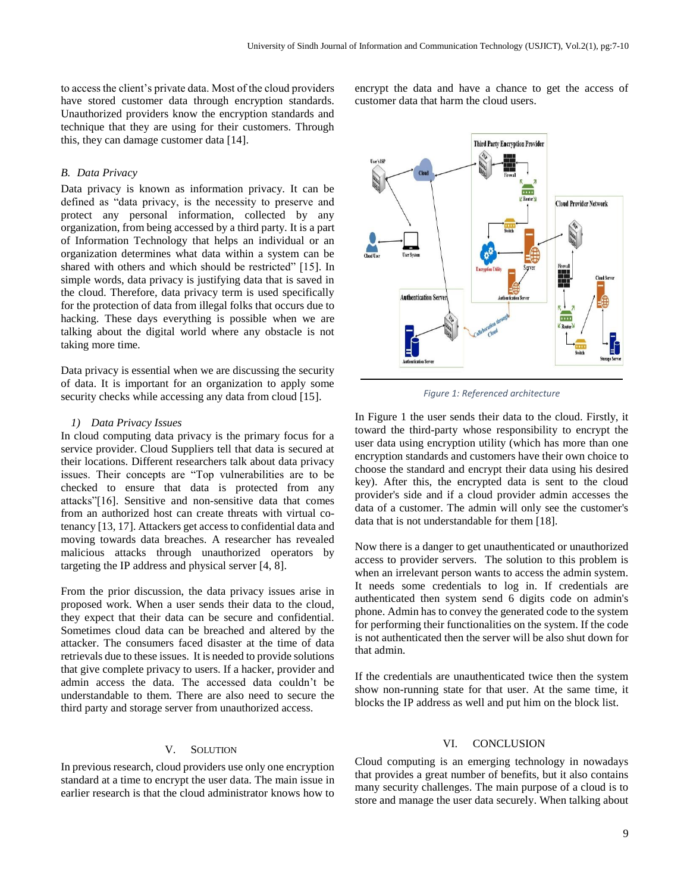to access the client's private data. Most of the cloud providers have stored customer data through encryption standards. Unauthorized providers know the encryption standards and technique that they are using for their customers. Through this, they can damage customer data [14].

# *B. Data Privacy*

Data privacy is known as information privacy. It can be defined as "data privacy, is the necessity to preserve and protect any personal information, collected by any organization, from being accessed by a third party. It is a part of Information Technology that helps an individual or an organization determines what data within a system can be shared with others and which should be restricted" [15]. In simple words, data privacy is justifying data that is saved in the cloud. Therefore, data privacy term is used specifically for the protection of data from illegal folks that occurs due to hacking. These days everything is possible when we are talking about the digital world where any obstacle is not taking more time.

Data privacy is essential when we are discussing the security of data. It is important for an organization to apply some security checks while accessing any data from cloud [15].

## *1) Data Privacy Issues*

In cloud computing data privacy is the primary focus for a service provider. Cloud Suppliers tell that data is secured at their locations. Different researchers talk about data privacy issues. Their concepts are "Top vulnerabilities are to be checked to ensure that data is protected from any attacks"[16]. Sensitive and non-sensitive data that comes from an authorized host can create threats with virtual cotenancy [13, 17]. Attackers get access to confidential data and moving towards data breaches. A researcher has revealed malicious attacks through unauthorized operators by targeting the IP address and physical server [4, 8].

From the prior discussion, the data privacy issues arise in proposed work. When a user sends their data to the cloud, they expect that their data can be secure and confidential. Sometimes cloud data can be breached and altered by the attacker. The consumers faced disaster at the time of data retrievals due to these issues. It is needed to provide solutions that give complete privacy to users. If a hacker, provider and admin access the data. The accessed data couldn't be understandable to them. There are also need to secure the third party and storage server from unauthorized access.

## V. SOLUTION

In previous research, cloud providers use only one encryption standard at a time to encrypt the user data. The main issue in earlier research is that the cloud administrator knows how to encrypt the data and have a chance to get the access of customer data that harm the cloud users.



*Figure 1: Referenced architecture*

In Figure 1 the user sends their data to the cloud. Firstly, it toward the third-party whose responsibility to encrypt the user data using encryption utility (which has more than one encryption standards and customers have their own choice to choose the standard and encrypt their data using his desired key). After this, the encrypted data is sent to the cloud provider's side and if a cloud provider admin accesses the data of a customer. The admin will only see the customer's data that is not understandable for them [18].

Now there is a danger to get unauthenticated or unauthorized access to provider servers. The solution to this problem is when an irrelevant person wants to access the admin system. It needs some credentials to log in. If credentials are authenticated then system send 6 digits code on admin's phone. Admin has to convey the generated code to the system for performing their functionalities on the system. If the code is not authenticated then the server will be also shut down for that admin.

If the credentials are unauthenticated twice then the system show non-running state for that user. At the same time, it blocks the IP address as well and put him on the block list.

# VI. CONCLUSION

Cloud computing is an emerging technology in nowadays that provides a great number of benefits, but it also contains many security challenges. The main purpose of a cloud is to store and manage the user data securely. When talking about